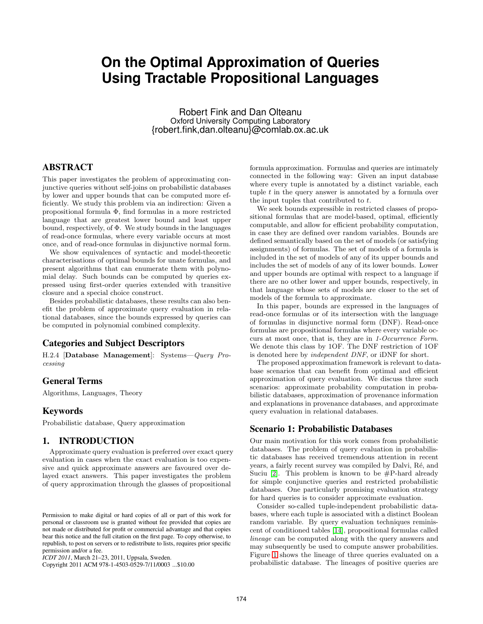# **On the Optimal Approximation of Queries Using Tractable Propositional Languages**

Robert Fink and Dan Olteanu Oxford University Computing Laboratory {robert.fink,dan.olteanu}@comlab.ox.ac.uk

# **ABSTRACT**

This paper investigates the problem of approximating conjunctive queries without self-joins on probabilistic databases by lower and upper bounds that can be computed more efficiently. We study this problem via an indirection: Given a propositional formula Φ, find formulas in a more restricted language that are greatest lower bound and least upper bound, respectively, of Φ. We study bounds in the languages of read-once formulas, where every variable occurs at most once, and of read-once formulas in disjunctive normal form.

We show equivalences of syntactic and model-theoretic characterisations of optimal bounds for unate formulas, and present algorithms that can enumerate them with polynomial delay. Such bounds can be computed by queries expressed using first-order queries extended with transitive closure and a special choice construct.

Besides probabilistic databases, these results can also benefit the problem of approximate query evaluation in relational databases, since the bounds expressed by queries can be computed in polynomial combined complexity.

# **Categories and Subject Descriptors**

H.2.4 [Database Management]: Systems—*Query Processing*

# **General Terms**

Algorithms, Languages, Theory

#### **Keywords**

Probabilistic database, Query approximation

# **1. INTRODUCTION**

Approximate query evaluation is preferred over exact query evaluation in cases when the exact evaluation is too expensive and quick approximate answers are favoured over delayed exact answers. This paper investigates the problem of query approximation through the glasses of propositional

Copyright 2011 ACM 978-1-4503-0529-7/11/0003 ...\$10.00

formula approximation. Formulas and queries are intimately connected in the following way: Given an input database where every tuple is annotated by a distinct variable, each tuple t in the query answer is annotated by a formula over the input tuples that contributed to t.

We seek bounds expressible in restricted classes of propositional formulas that are model-based, optimal, efficiently computable, and allow for efficient probability computation, in case they are defined over random variables. Bounds are defined semantically based on the set of models (or satisfying assignments) of formulas. The set of models of a formula is included in the set of models of any of its upper bounds and includes the set of models of any of its lower bounds. Lower and upper bounds are optimal with respect to a language if there are no other lower and upper bounds, respectively, in that language whose sets of models are closer to the set of models of the formula to approximate.

In this paper, bounds are expressed in the languages of read-once formulas or of its intersection with the language of formulas in disjunctive normal form (DNF). Read-once formulas are propositional formulas where every variable occurs at most once, that is, they are in *1-Occurrence Form*. We denote this class by 1OF. The DNF restriction of 1OF is denoted here by *independent DNF*, or iDNF for short.

The proposed approximation framework is relevant to database scenarios that can benefit from optimal and efficient approximation of query evaluation. We discuss three such scenarios: approximate probability computation in probabilistic databases, approximation of provenance information and explanations in provenance databases, and approximate query evaluation in relational databases.

## **Scenario 1: Probabilistic Databases**

Our main motivation for this work comes from probabilistic databases. The problem of query evaluation in probabilistic databases has received tremendous attention in recent years, a fairly recent survey was compiled by Dalvi, Ré, and Suciu [\[2\]](#page-11-0). This problem is known to be  $\#P$ -hard already for simple conjunctive queries and restricted probabilistic databases. One particularly promising evaluation strategy for hard queries is to consider approximate evaluation.

Consider so-called tuple-independent probabilistic databases, where each tuple is associated with a distinct Boolean random variable. By query evaluation techniques reminiscent of conditioned tables [\[14\]](#page-11-1), propositional formulas called *lineage* can be computed along with the query answers and may subsequently be used to compute answer probabilities. Figure [1](#page-1-0) shows the lineage of three queries evaluated on a probabilistic database. The lineages of positive queries are

Permission to make digital or hard copies of all or part of this work for personal or classroom use is granted without fee provided that copies are not made or distributed for profit or commercial advantage and that copies bear this notice and the full citation on the first page. To copy otherwise, to republish, to post on servers or to redistribute to lists, requires prior specific permission and/or a fee.

*ICDT 2011*, March 21–23, 2011, Uppsala, Sweden.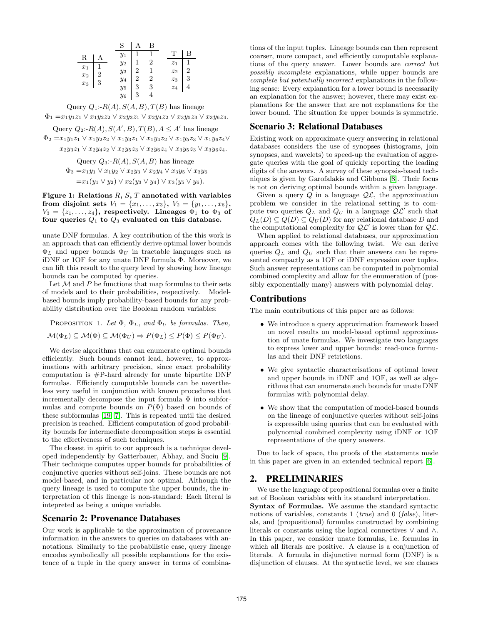| R I                                                            | $y_1$             |                           |                |                                                                            | B |
|----------------------------------------------------------------|-------------------|---------------------------|----------------|----------------------------------------------------------------------------|---|
|                                                                | $y_2$             | $\mathbf{1}$              | $\overline{2}$ | $\begin{array}{c cc} z_1 & 1 \\ z_2 & 2 \\ z_3 & 3 \\ z_4 & 4 \end{array}$ |   |
| $\begin{array}{c c} x_1 & 1 \\ x_2 & 2 \\ x_3 & 3 \end{array}$ | $\frac{y_3}{y_4}$ | $\overline{2}$            |                |                                                                            |   |
|                                                                |                   | $\overline{2}$            | $\overline{2}$ |                                                                            |   |
|                                                                | $\frac{y_5}{y_6}$ | $\sqrt{3}$                | 3              |                                                                            |   |
|                                                                |                   | $\overline{\phantom{0}3}$ |                |                                                                            |   |

Query  $Q_1$ :- $R(A), S(A, B), T(B)$  has lineage  $\Phi_1 = x_1y_1z_1 \vee x_1y_2z_2 \vee x_2y_3z_1 \vee x_2y_4z_2 \vee x_3y_5z_3 \vee x_3y_6z_4.$ 

Query  $Q_2$ :- $R(A), S(A', B), T(B), A \leq A'$  has lineage  $\Phi_2 = x_1y_1z_1 \vee x_1y_2z_2 \vee x_1y_3z_1 \vee x_1y_4z_2 \vee x_1y_5z_3 \vee x_1y_6z_4 \vee$  $x_2y_3z_1 \vee x_2y_4z_2 \vee x_2y_5z_3 \vee x_2y_6z_4 \vee x_3y_5z_3 \vee x_3y_6z_4.$ 

> Query  $Q_3$ :- $R(A)$ ,  $S(A, B)$  has lineage  $\Phi_3 = x_1y_1 \vee x_1y_2 \vee x_2y_3 \vee x_2y_4 \vee x_3y_5 \vee x_3y_6$  $=x_1(y_1 \vee y_2) \vee x_2(y_3 \vee y_4) \vee x_3(y_5 \vee y_6).$

<span id="page-1-0"></span>Figure 1: Relations  $R, S, T$  annotated with variables from disjoint sets  $V_1 = \{x_1, \ldots, x_3\}, V_2 = \{y_1, \ldots, x_6\},$  $V_3 = \{z_1, \ldots, z_4\}$ , respectively. Lineages  $\Phi_1$  to  $\Phi_3$  of four queries  $Q_1$  to  $Q_3$  evaluated on this database.

unate DNF formulas. A key contribution of the this work is an approach that can efficiently derive optimal lower bounds  $\Phi_L$  and upper bounds  $\Phi_U$  in tractable languages such as iDNF or 1OF for any unate DNF formula Φ. Moreover, we can lift this result to the query level by showing how lineage bounds can be computed by queries.

Let  $M$  and  $P$  be functions that map formulas to their sets of models and to their probabilities, respectively. Modelbased bounds imply probability-based bounds for any probability distribution over the Boolean random variables:

PROPOSITION 1. Let  $\Phi$ ,  $\Phi$ <sub>L</sub>, and  $\Phi$ <sub>U</sub> be formulas. Then,

 $\mathcal{M}(\Phi_L) \subset \mathcal{M}(\Phi) \subset \mathcal{M}(\Phi_U) \Rightarrow P(\Phi_L) < P(\Phi) < P(\Phi_U).$ 

We devise algorithms that can enumerate optimal bounds efficiently. Such bounds cannot lead, however, to approximations with arbitrary precision, since exact probability computation is #P-hard already for unate bipartite DNF formulas. Efficiently computable bounds can be nevertheless very useful in conjunction with known procedures that incrementally decompose the input formula  $\Phi$  into subformulas and compute bounds on  $P(\Phi)$  based on bounds of these subformulas [\[19,](#page-11-2) [7\]](#page-11-3). This is repeated until the desired precision is reached. Efficient computation of good probability bounds for intermediate decomposition steps is essential to the effectiveness of such techniques.

The closest in spirit to our approach is a technique developed independently by Gatterbauer, Abhay, and Suciu [\[9\]](#page-11-4). Their technique computes upper bounds for probabilities of conjunctive queries without self-joins. These bounds are not model-based, and in particular not optimal. Although the query lineage is used to compute the upper bounds, the interpretation of this lineage is non-standard: Each literal is intepreted as being a unique variable.

#### **Scenario 2: Provenance Databases**

Our work is applicable to the approximation of provenance information in the answers to queries on databases with annotations. Similarly to the probabilistic case, query lineage encodes symbolically all possible explanations for the existence of a tuple in the query answer in terms of combinations of the input tuples. Lineage bounds can then represent coarser, more compact, and efficiently computable explanations of the query answer. Lower bounds are *correct but possibly incomplete* explanations, while upper bounds are *complete but potentially incorrect* explanations in the following sense: Every explanation for a lower bound is necessarily an explanation for the answer; however, there may exist explanations for the answer that are not explanations for the lower bound. The situation for upper bounds is symmetric.

#### **Scenario 3: Relational Databases**

Existing work on approximate query answering in relational databases considers the use of synopses (histograms, join synopses, and wavelets) to speed-up the evaluation of aggregate queries with the goal of quickly reporting the leading digits of the answers. A survey of these synopsis-based techniques is given by Garofalakis and Gibbons [\[8\]](#page-11-5). Their focus is not on deriving optimal bounds within a given language.

Given a query  $Q$  in a language  $Q\mathcal{L}$ , the approximation problem we consider in the relational setting is to compute two queries  $Q_L$  and  $Q_U$  in a language  $\mathcal{QL}'$  such that  $Q_L(D) \subseteq Q(D) \subseteq Q_U(D)$  for any relational database D and the computational complexity for  $Q\mathcal{L}'$  is lower than for  $Q\mathcal{L}$ .

When applied to relational databases, our approximation approach comes with the following twist. We can derive queries  $Q_L$  and  $Q_U$  such that their answers can be represented compactly as a 1OF or iDNF expression over tuples. Such answer representations can be computed in polynomial combined complexity and allow for the enumeration of (possibly exponentially many) answers with polynomial delay.

#### **Contributions**

The main contributions of this paper are as follows:

- We introduce a query approximation framework based on novel results on model-based optimal approximation of unate formulas. We investigate two languages to express lower and upper bounds: read-once formulas and their DNF retrictions.
- We give syntactic characterisations of optimal lower and upper bounds in iDNF and 1OF, as well as algorithms that can enumerate such bounds for unate DNF formulas with polynomial delay.
- We show that the computation of model-based bounds on the lineage of conjunctive queries without self-joins is expressible using queries that can be evaluated with polynomial combined complexity using iDNF or 1OF representations of the query answers.

Due to lack of space, the proofs of the statements made in this paper are given in an extended technical report [\[6\]](#page-11-6).

## **2. PRELIMINARIES**

We use the language of propositional formulas over a finite set of Boolean variables with its standard interpretation. Syntax of Formulas. We assume the standard syntactic notions of variables, constants 1 (*true*) and 0 (*false*), liter-

als, and (propositional) formulas constructed by combining literals or constants using the logical connectives ∨ and ∧. In this paper, we consider unate formulas, i.e. formulas in which all literals are positive. A clause is a conjunction of literals. A formula in disjunctive normal form (DNF) is a disjunction of clauses. At the syntactic level, we see clauses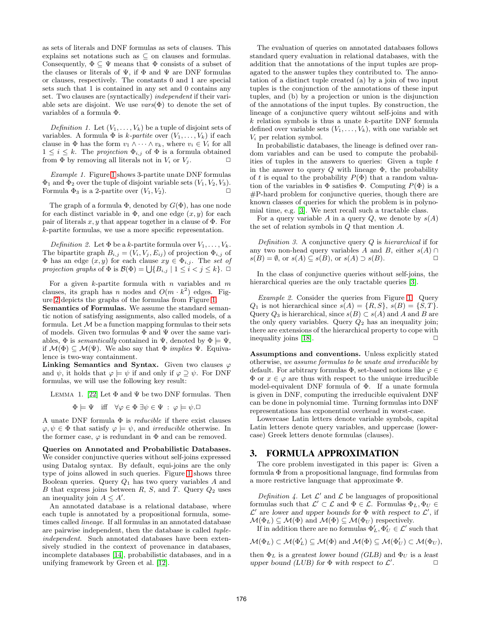as sets of literals and DNF formulas as sets of clauses. This explains set notations such as  $\subseteq$  on clauses and formulas. Consequently,  $\Phi \subseteq \Psi$  means that  $\Phi$  consists of a subset of the clauses or literals of  $\Psi$ , if  $\Phi$  and  $\Psi$  are DNF formulas or clauses, respectively. The constants 0 and 1 are special sets such that 1 is contained in any set and 0 contains any set. Two clauses are (syntactically) *independent* if their variable sets are disjoint. We use *vars*(Φ) to denote the set of variables of a formula Φ.

*Definition 1.* Let  $(V_1, \ldots, V_k)$  be a tuple of disjoint sets of variables. A formula  $\Phi$  is *k*-*partite* over  $(V_1, \ldots, V_k)$  if each clause in  $\Phi$  has the form  $v_1 \wedge \cdots \wedge v_k$ , where  $v_i \in V_i$  for all  $1 \leq i \leq k$ . The *projection*  $\Phi_{i,j}$  of  $\Phi$  is a formula obtained from  $\Phi$  by removing all literals not in  $V_i$  or  $V_j$ .

*Example 1.* Figure [1](#page-1-0) shows 3-partite unate DNF formulas  $\Phi_1$  and  $\Phi_2$  over the tuple of disjoint variable sets  $(V_1, V_2, V_3)$ . Formula  $\Phi_3$  is a 2-partite over  $(V_1, V_2)$ .

The graph of a formula  $\Phi$ , denoted by  $G(\Phi)$ , has one node for each distinct variable in  $\Phi$ , and one edge  $(x, y)$  for each pair of literals  $x, y$  that appear together in a clause of  $\Phi$ . For k-partite formulas, we use a more specific representation.

*Definition 2.* Let  $\Phi$  be a k-partite formula over  $V_1, \ldots, V_k$ . The bipartite graph  $B_{i,j} = (V_i, V_j, E_{ij})$  of projection  $\Phi_{i,j}$  of  $\Phi$  has an edge  $(x, y)$  for each clause  $xy \in \Phi_{i,j}$ . The *set of projection graphs* of  $\Phi$  is  $\mathcal{B}(\Phi) = \bigcup \{B_{i,j} \mid 1 \leq i < j \leq k\}$ .

For a given  $k$ -partite formula with  $n$  variables and  $m$ clauses, its graph has *n* nodes and  $O(m \cdot k^2)$  edges. Figure [2](#page-7-0) depicts the graphs of the formulas from Figure [1.](#page-1-0)

Semantics of Formulas. We assume the standard semantic notion of satisfying assignments, also called models, of a formula. Let  $M$  be a function mapping formulas to their sets of models. Given two formulas  $\Phi$  and  $\Psi$  over the same variables,  $\Phi$  is *semantically* contained in  $\Psi$ , denoted by  $\Phi \models \Psi$ , if  $\mathcal{M}(\Phi) \subseteq \mathcal{M}(\Psi)$ . We also say that  $\Phi$  *implies*  $\Psi$ . Equivalence is two-way containment.

Linking Semantics and Syntax. Given two clauses  $\varphi$ and  $\psi$ , it holds that  $\varphi \models \psi$  if and only if  $\varphi \supseteq \psi$ . For DNF formulas, we will use the following key result:

LEMMA 1. [\[22\]](#page-11-7) Let  $\Phi$  and  $\Psi$  be two DNF formulas. Then

$$
\Phi \models \Psi
$$
 iff  $\forall \varphi \in \Phi \exists \psi \in \Psi : \varphi \models \psi.\Box$ 

A unate DNF formula Φ is *reducible* if there exist clauses  $\varphi, \psi \in \Phi$  that satisfy  $\varphi \models \psi$ , and *irreducible* otherwise. In the former case,  $\varphi$  is redundant in  $\Phi$  and can be removed.

#### Queries on Annotated and Probabilistic Databases.

We consider conjunctive queries without self-joins expressed using Datalog syntax. By default, equi-joins are the only type of joins allowed in such queries. Figure [1](#page-1-0) shows three Boolean queries. Query  $Q_1$  has two query variables A and B that express joins between  $R$ ,  $S$ , and  $T$ . Query  $Q_2$  uses an inequality join  $A \leq A'$ .

An annotated database is a relational database, where each tuple is annotated by a propositional formula, sometimes called *lineage*. If all formulas in an annotated database are pairwise independent, then the database is called *tupleindependent*. Such annotated databases have been extensively studied in the context of provenance in databases, incomplete databases [\[14\]](#page-11-1), probabilistic databases, and in a unifying framework by Green et al. [\[12\]](#page-11-8).

The evaluation of queries on annotated databases follows standard query evaluation in relational databases, with the addition that the annotations of the input tuples are propagated to the answer tuples they contributed to. The annotation of a distinct tuple created (a) by a join of two input tuples is the conjunction of the annotations of these input tuples, and (b) by a projection or union is the disjunction of the annotations of the input tuples. By construction, the lineage of a conjunctive query wihtout self-joins and with  $k$  relation symbols is thus a unate  $k$ -partite DNF formula defined over variable sets  $(V_1, \ldots, V_k)$ , with one variable set  $V_i$  per relation symbol.

In probabilistic databases, the lineage is defined over random variables and can be used to compute the probabilities of tuples in the answers to queries: Given a tuple t in the answer to query  $Q$  with lineage  $\Phi$ , the probability of t is equal to the probability  $P(\Phi)$  that a random valuation of the variables in  $\Phi$  satisfies  $\Phi$ . Computing  $P(\Phi)$  is a #P-hard problem for conjunctive queries, though there are known classes of queries for which the problem is in polynomial time, e.g. [\[3\]](#page-11-9). We next recall such a tractable class.

<span id="page-2-1"></span>For a query variable A in a query Q, we denote by  $s(A)$ the set of relation symbols in Q that mention A.

*Definition 3.* A conjunctive query Q is *hierarchical* if for any two non-head query variables A and B, either  $s(A) \cap$  $s(B) = \emptyset$ , or  $s(A) \subseteq s(B)$ , or  $s(A) \supset s(B)$ .

In the class of conjunctive queries without self-joins, the hierarchical queries are the only tractable queries [\[3\]](#page-11-9).

*Example 2.* Consider the queries from Figure [1.](#page-1-0) Query  $Q_1$  is not hierarchical since  $s(A) = \{R, S\}, s(B) = \{S, T\}.$ Query  $Q_3$  is hierarchical, since  $s(B) \subset s(A)$  and A and B are the only query variables. Query  $Q_2$  has an inequality join; there are extensions of the hierarchical property to cope with inequality joins [\[18\]](#page-11-10).  $\Box$ 

<span id="page-2-0"></span>Assumptions and conventions. Unless explicitly stated otherwise, *we assume formulas to be unate and irreducible* by default. For arbitrary formulas  $\Phi$ , set-based notions like  $\varphi \in$  $\Phi$  or  $x \in \varphi$  are thus with respect to the unique irreducible model-equivalent DNF formula of Φ. If a unate formula is given in DNF, computing the irreducible equivalent DNF can be done in polynomial time. Turning formulas into DNF representations has exponential overhead in worst-case.

Lowercase Latin letters denote variable symbols, capital Latin letters denote query variables, and uppercase (lowercase) Greek letters denote formulas (clauses).

#### **3. FORMULA APPROXIMATION**

The core problem investigated in this paper is: Given a formula Φ from a propositional language, find formulas from a more restrictive language that approximate Φ.

*Definition 4.* Let  $\mathcal{L}'$  and  $\mathcal{L}$  be languages of propositional formulas such that  $\mathcal{L}' \subset \mathcal{L}$  and  $\Phi \in \mathcal{L}$ . Formulas  $\Phi_L, \Phi_U \in$  $\mathcal{L}'$  are lower and upper bounds for  $\Phi$  with respect to  $\mathcal{L}'$ , if  $\mathcal{M}(\Phi_L) \subseteq \mathcal{M}(\Phi)$  and  $\mathcal{M}(\Phi) \subseteq \mathcal{M}(\Phi_U)$  respectively.

If in addition there are no formulas  $\Phi'_{L}, \Phi'_{U} \in \mathcal{L}'$  such that

$$
\mathcal{M}(\Phi_L) \subset \mathcal{M}(\Phi'_L) \subseteq \mathcal{M}(\Phi) \text{ and } \mathcal{M}(\Phi) \subseteq \mathcal{M}(\Phi'_U) \subset \mathcal{M}(\Phi_U),
$$

then  $\Phi_L$  is a greatest lower bound (GLB) and  $\Phi_U$  is a least upper bound (LUB) for  $\Phi$  with respect to  $\mathcal{L}'$  $\Box$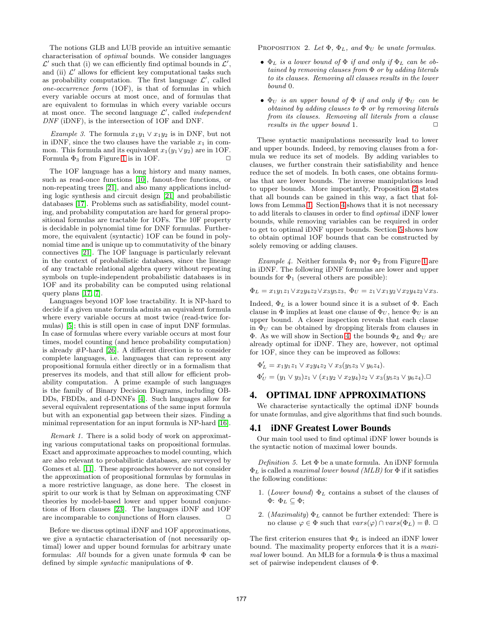The notions GLB and LUB provide an intuitive semantic characterisation of *optimal* bounds. We consider languages  $\mathcal{L}'$  such that (i) we can efficiently find optimal bounds in  $\mathcal{L}',$ and (ii)  $\mathcal{L}'$  allows for efficient key computational tasks such as probability computation. The first language  $\mathcal{L}'$ , called *one-occurrence form* (1OF), is that of formulas in which every variable occurs at most once, and of formulas that are equivalent to formulas in which every variable occurs at most once. The second language  $\mathcal{L}'$ , called *independent DNF* (iDNF), is the intersection of 1OF and DNF.

*Example 3.* The formula  $x_1y_1 \vee x_1y_2$  is in DNF, but not in iDNF, since the two clauses have the variable  $x_1$  in common. This formula and its equivalent  $x_1(y_1 \vee y_2)$  are in 1OF. Formula  $\Phi_3$  from Figure [1](#page-1-0) is in 1OF.

The 1OF language has a long history and many names, such as read-once functions [\[10\]](#page-11-11), fanout-free functions, or non-repeating trees [\[21\]](#page-11-12), and also many applications including logic synthesis and circuit design [\[21\]](#page-11-12) and probabilistic databases [\[17\]](#page-11-13). Problems such as satisfiability, model counting, and probability computation are hard for general propositional formulas are tractable for 1OFs. The 10F property is decidable in polynomial time for DNF formulas. Furthermore, the equivalent (syntactic) 1OF can be found in polynomial time and is unique up to commutativity of the binary connectives [\[21\]](#page-11-12). The 1OF language is particularly relevant in the context of probabilistic databases, since the lineage of any tractable relational algebra query without repeating symbols on tuple-independent probabilistic databases is in 1OF and its probability can be computed using relational query plans [\[17,](#page-11-13) [7\]](#page-11-3).

Languages beyond 1OF lose tractability. It is NP-hard to decide if a given unate formula admits an equivalent formula where every variable occurs at most twice (read-twice formulas) [\[5\]](#page-11-14); this is still open in case of input DNF formulas. In case of formulas where every variable occurs at most four times, model counting (and hence probability computation) is already #P-hard [\[26\]](#page-11-15). A different direction is to consider complete languages, i.e. languages that can represent any propositional formula either directly or in a formalism that preserves its models, and that still allow for efficient probability computation. A prime example of such languages is the family of Binary Decision Diagrams, including OB-DDs, FBDDs, and d-DNNFs [\[4\]](#page-11-16). Such languages allow for several equivalent representations of the same input formula but with an exponential gap between their sizes. Finding a minimal representation for an input formula is NP-hard [\[16\]](#page-11-17).

*Remark 1.* There is a solid body of work on approximating various computational tasks on propositional formulas. Exact and approximate approaches to model counting, which are also relevant to probabilistic databases, are surveyed by Gomes et al. [\[11\]](#page-11-18). These approaches however do not consider the approximation of propositional formulas by formulas in a more restrictive language, as done here. The closest in spirit to our work is that by Selman on approximating CNF theories by model-based lower and upper bound conjunctions of Horn clauses [\[23\]](#page-11-19). The languages iDNF and 1OF are incomparable to conjunctions of Horn clauses.  $\Box$ 

<span id="page-3-0"></span>Before we discuss optimal iDNF and 1OF approximations, we give a syntactic characterisation of (not necessarily optimal) lower and upper bound formulas for arbitrary unate formulas: *All* bounds for a given unate formula Φ can be defined by simple *syntactic* manipulations of Φ.

PROPOSITION 2. Let  $\Phi$ ,  $\Phi$ <sub>L</sub>, and  $\Phi$ <sub>U</sub> be unate formulas.

- $\bullet$   $\Phi_L$  *is a lower bound of*  $\Phi$  *if and only if*  $\Phi_L$  *can be obtained by removing clauses from* Φ *or by adding literals to its clauses. Removing all clauses results in the lower bound* 0*.*
- $\Phi_U$  *is an upper bound of*  $\Phi$  *if and only if*  $\Phi_U$  *can be obtained by adding clauses to* Φ *or by removing literals from its clauses. Removing all literals from a clause results in the upper bound* 1.

These syntactic manipulations necessarily lead to lower and upper bounds. Indeed, by removing clauses from a formula we reduce its set of models. By adding variables to clauses, we further constrain their satisfiability and hence reduce the set of models. In both cases, one obtains formulas that are lower bounds. The inverse manipulations lead to upper bounds. More importantly, Proposition [2](#page-3-0) states that all bounds can be gained in this way, a fact that follows from Lemma [1.](#page-2-0) Section [4](#page-3-1) shows that it is not necessary to add literals to clauses in order to find *optimal* iDNF lower bounds, while removing variables can be required in order to get to optimal iDNF upper bounds. Section [5](#page-6-0) shows how to obtain optimal 1OF bounds that can be constructed by solely removing or adding clauses.

*Example 4.* Neither formula  $\Phi_1$  nor  $\Phi_2$  from Figure [1](#page-1-0) are in iDNF. The following iDNF formulas are lower and upper bounds for  $\Phi_1$  (several others are possible):

 $\Phi_L = x_1y_1z_1 \vee x_2y_4z_2 \vee x_3y_5z_3, \ \Phi_U = z_1 \vee x_1y_2 \vee x_2y_4z_2 \vee x_3.$ 

Indeed,  $\Phi_L$  is a lower bound since it is a subset of  $\Phi$ . Each clause in  $\Phi$  implies at least one clause of  $\Phi_U$ , hence  $\Phi_U$  is an upper bound. A closer inspection reveals that each clause in  $\Phi_U$  can be obtained by dropping literals from clauses in Φ. As we will show in Section [4,](#page-3-1) the bounds  $Φ<sub>L</sub>$  and  $Φ<sub>U</sub>$  are already optimal for iDNF. They are, however, not optimal for 1OF, since they can be improved as follows:

$$
\Phi'_L = x_1 y_1 z_1 \vee x_2 y_4 z_2 \vee x_3 (y_5 z_3 \vee y_6 z_4).
$$
  

$$
\Phi'_U = (y_1 \vee y_3) z_1 \vee (x_1 y_2 \vee x_2 y_4) z_2 \vee x_3 (y_5 z_3 \vee y_6 z_4).
$$

## <span id="page-3-1"></span>**4. OPTIMAL IDNF APPROXIMATIONS**

We characterise syntactically the optimal iDNF bounds for unate formulas, and give algorithms that find such bounds.

#### **4.1 iDNF Greatest Lower Bounds**

Our main tool used to find optimal iDNF lower bounds is the syntactic notion of maximal lower bounds.

*Definition 5.* Let Φ be a unate formula. An iDNF formula  $\Phi_L$  is called a *maximal lower bound (MLB)* for  $\Phi$  if it satisfies the following conditions:

- 1. (*Lower bound*) Φ<sup>L</sup> contains a subset of the clauses of  $\Phi: \Phi_L \subset \Phi;$
- 2. (*Maximality*)  $\Phi_L$  cannot be further extended: There is no clause  $\varphi \in \Phi$  such that  $vars(\varphi) \cap vars(\Phi_L) = \emptyset$ .  $\Box$

The first criterion ensures that  $\Phi_L$  is indeed an iDNF lower bound. The maximality property enforces that it is a *maximal* lower bound. An MLB for a formula  $\Phi$  is thus a maximal set of pairwise independent clauses of Φ.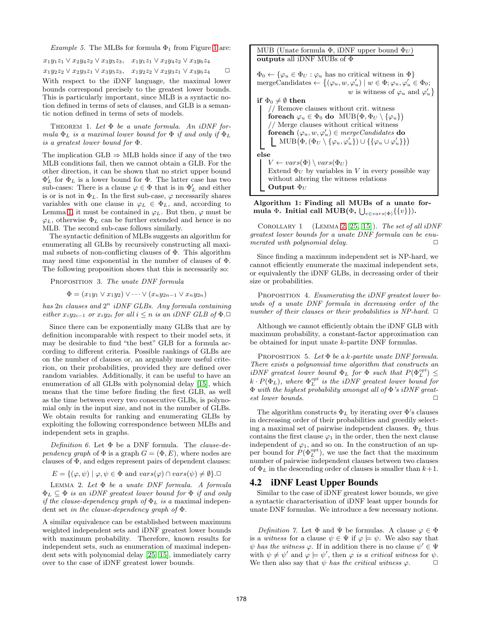*Example 5.* The MLBs for formula  $\Phi_1$  from Figure [1](#page-1-0) are:

 $x_1y_1z_1 \vee x_2y_4z_2 \vee x_3y_5z_3$ ,  $x_1y_1z_1 \vee x_2y_4z_2 \vee x_3y_6z_4$ 

 $x_1y_2z_2 \vee x_2y_3z_1 \vee x_3y_5z_3$ ,  $x_1y_2z_2 \vee x_2y_3z_1 \vee x_3y_6z_4$   $\Box$ 

With respect to the iDNF language, the maximal lower bounds correspond precisely to the greatest lower bounds. This is particularly important, since MLB is a syntactic notion defined in terms of sets of clauses, and GLB is a semantic notion defined in terms of sets of models.

Theorem 1. *Let* Φ *be a unate formula. An iDNF formula*  $\Phi_L$  *is a maximal lower bound for*  $\Phi$  *if and only if*  $\Phi_L$ *is a greatest lower bound for* Φ*.*

The implication  $GLB \Rightarrow MLB$  holds since if any of the two MLB conditions fail, then we cannot obtain a GLB. For the other direction, it can be shown that no strict upper bound  $\Phi'_{L}$  for  $\Phi_{L}$  is a lower bound for  $\Phi$ . The latter case has two sub-cases: There is a clause  $\varphi \in \Phi$  that is in  $\Phi'_{L}$  and either is or is not in  $\Phi_L$ . In the first sub-case,  $\varphi$  necessarily shares variables with one clause in  $\varphi_L \in \Phi_L$ , and, according to Lemma [1,](#page-2-0) it must be contained in  $\varphi_L$ . But then,  $\varphi$  must be  $\varphi_L$ , otherwise  $\Phi_L$  can be further extended and hence is no MLB. The second sub-case follows similarly.

The syntactic definition of MLBs suggests an algorithm for enumerating all GLBs by recursively constructing all maximal subsets of non-conflicting clauses of  $\Phi$ . This algorithm may need time exponential in the number of clauses of  $\Phi$ . The following proposition shows that this is necessarily so:

Proposition 3. *The unate DNF formula*

 $\Phi = (x_1y_1 \vee x_1y_2) \vee \cdots \vee (x_ny_{2n-1} \vee x_ny_{2n})$ 

*has* 2n *clauses and* 2 n *iDNF GLBs. Any formula containing either*  $x_i y_{2i-1}$  *or*  $x_i y_{2i}$  *for all*  $i ≤ n$  *is an iDNF GLB of*  $\Phi.□$ 

Since there can be exponentially many GLBs that are by definition incomparable with respect to their model sets, it may be desirable to find "the best" GLB for a formula according to different criteria. Possible rankings of GLBs are on the number of clauses or, an arguably more useful criterion, on their probabilities, provided they are defined over random variables. Additionally, it can be useful to have an enumeration of all GLBs with polynomial delay [\[15\]](#page-11-20), which means that the time before finding the first GLB, as well as the time between every two consecutive GLBs, is polynomial only in the input size, and not in the number of GLBs. We obtain results for ranking and enumerating GLBs by exploiting the following correspondence between MLBs and independent sets in graphs.

*Definition 6.* Let Φ be a DNF formula. The *clause-dependency graph* of  $\Phi$  is a graph  $G = (\Phi, E)$ , where nodes are clauses of Φ, and edges represent pairs of dependent clauses:

<span id="page-4-0"></span>
$$
E = \{(\varphi, \psi) \mid \varphi, \psi \in \Phi \text{ and } vars(\varphi) \cap vars(\psi) \neq \emptyset\}.\Box
$$

Lemma 2. *Let* Φ *be a unate DNF formula. A formula* Φ<sup>L</sup> ⊆ Φ *is an iDNF greatest lower bound for* Φ *if and only if the clause-dependency graph of*  $\Phi_L$  *is a* maximal independent set *in the clause-dependency graph of* Φ*.*

A similar equivalence can be established between maximum weighted independent sets and iDNF greatest lower bounds with maximum probability. Therefore, known results for independent sets, such as enumeration of maximal independent sets with polynomial delay [\[25,](#page-11-21) [15\]](#page-11-20), immediately carry over to the case of iDNF greatest lower bounds.

MUB (Unate formula  $\Phi$ , iDNF upper bound  $\Phi_U$ ) outputs all iDNF MUBs of Φ  $\Phi_0 \leftarrow {\varphi_u \in \Phi_U : \varphi_u \text{ has no critical witness in } \Phi}$  $\text{mergeC} \text{andidates} \leftarrow \{(\varphi_u, w, \varphi_u') \mid w \in \Phi; \varphi_u, \varphi_u' \in \Phi_0; \right.$ w is witness of  $\varphi_u$  and  $\varphi'_u$ } if  $\Phi_0 \neq \emptyset$  then // Remove clauses without crit. witness  ${\rm \textbf{for} \textbf{each} \,\,} \varphi_u \in \Phi_0 \textbf{ do } \,\, {\rm MUB} \big( \Phi, \Phi_U \setminus \{\varphi_u\} \big)$ // Merge clauses without critical witness  $\tilde{\mathbf{f}}$ oreach  $(\varphi_u, w, \varphi'_u) \in \mathit{mergeC}$ andidates  $\mathbf{do}$  $\text{MUB}(\Phi, (\Phi_U \setminus \{\varphi_u, \varphi_u'\}) \cup \{\{\varphi_u \cup \varphi_u'\}\})$ else  $V \leftarrow vars(\Phi) \setminus vars(\Phi_U)$ Extend  $\Phi_U$  by variables in V in every possible way without altering the witness relations Output  $\Phi_U$ 

<span id="page-4-1"></span>Algorithm 1: Finding all MUBs of a unate formula Φ. Initial call  $\text{MUB}(\Phi, \bigcup_{v \in vars(\Phi)} \{\{v\}\}).$ 

Corollary 1 (Lemma [2,](#page-4-0)[\[25,](#page-11-21) [15\]](#page-11-20)). *The set of all iDNF greatest lower bounds for a unate DNF formula can be enumerated with polynomial delay.* □

Since finding a maximum independent set is NP-hard, we cannot efficiently enumerate the maximal independent sets, or equivalently the iDNF GLBs, in decreasing order of their size or probabilities.

Proposition 4. *Enumerating the iDNF greatest lower bounds of a unate DNF formula in decreasing order of the number of their clauses or their probabilities is NP-hard.*  $\Box$ 

Although we cannot efficiently obtain the iDNF GLB with maximum probability, a constant-factor approximation can be obtained for input unate k-partite DNF formulas.

Proposition 5. *Let* Φ *be a* k*-partite unate DNF formula. There exists a polynomial time algorithm that constructs an iDNF* greatest lower bound  $\Phi_L$  for  $\Phi$  *such that*  $P(\Phi_L^{opt}) \leq$  $k \cdot P(\Phi_L)$ , where  $\Phi_L^{opt}$  is the iDNF greatest lower bound for Φ *with the highest probability amongst all of* Φ*'s iDNF great* $est\ lower\ bounds.$ 

The algorithm constructs  $\Phi_L$  by iterating over  $\Phi$ 's clauses in decreasing order of their probabilities and greedily selecting a maximal set of pairwise independent clauses.  $\Phi_L$  thus contains the first clause  $\varphi_1$  in the order, then the next clause independent of  $\varphi_1$ , and so on. In the construction of an upper bound for  $P(\Phi_L^{\text{opt}})$ , we use the fact that the maximum number of pairwise independent clauses between two clauses of  $\Phi_L$  in the descending order of clauses is smaller than  $k+1$ .

#### **4.2 iDNF Least Upper Bounds**

Similar to the case of iDNF greatest lower bounds, we give a syntactic characterisation of iDNF least upper bounds for unate DNF formulas. We introduce a few necessary notions.

*Definition 7.* Let  $\Phi$  and  $\Psi$  be formulas. A clause  $\varphi \in \Phi$ is a *witness* for a clause  $\psi \in \Psi$  if  $\varphi \models \psi$ . We also say that  $\psi$  has the witness  $\varphi$ . If in addition there is no clause  $\psi' \in \Psi$ with  $\psi \neq \psi'$  and  $\varphi \models \psi'$ , then  $\varphi$  *is a critical witness* for  $\psi$ . We then also say that  $\psi$  *has the critical witness*  $\varphi$ .  $\Box$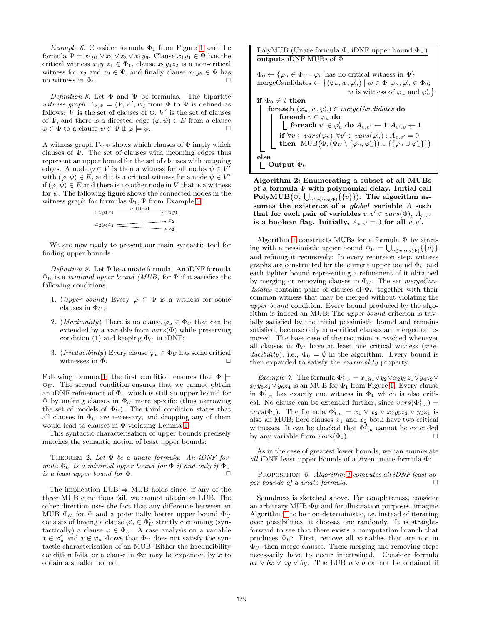<span id="page-5-0"></span>*Example 6.* Consider formula  $\Phi_1$  from Figure [1](#page-1-0) and the formula  $\Psi = x_1y_1 \vee x_2 \vee x_2 \vee x_1y_6$ . Clause  $x_1y_1 \in \Psi$  has the critical witness  $x_1y_1z_1 \in \Phi_1$ , clause  $x_2y_4z_2$  is a non-critical witness for  $x_2$  and  $z_2 \in \Psi$ , and finally clause  $x_1y_6 \in \Psi$  has no witness in  $\Phi_1$ .

*Definition 8.* Let  $\Phi$  and  $\Psi$  be formulas. The bipartite *witness graph*  $\Gamma_{\Phi,\Psi} = (V, V', E)$  from  $\Phi$  to  $\Psi$  is defined as follows:  $\hat{V}$  is the set of clauses of  $\Phi$ ,  $V'$  is the set of clauses of  $\Psi$ , and there is a directed edge  $(\varphi, \psi) \in E$  from a clause  $\varphi \in \Phi$  to a clause  $\psi \in \Psi$  if  $\varphi \models \psi$ .

A witness graph  $\Gamma_{\Phi,\Psi}$  shows which clauses of  $\Phi$  imply which clauses of  $\Psi$ . The set of clauses with incoming edges thus represent an upper bound for the set of clauses with outgoing edges. A node  $\varphi \in V$  is then a witness for all nodes  $\psi \in V'$ with  $(\varphi, \psi) \in E$ , and it is a critical witness for a node  $\psi \in V'$ if  $(\varphi, \psi) \in E$  and there is no other node in V that is a witness for  $\psi$ . The following figure shows the connected nodes in the witness graph for formulas  $\Phi_1$ ,  $\Psi$  from Example [6.](#page-5-0)



We are now ready to present our main syntactic tool for finding upper bounds.

*Definition 9.* Let Φ be a unate formula. An iDNF formula  $\Phi_U$  is a *minimal upper bound (MUB)* for  $\Phi$  if it satisfies the following conditions:

- 1. (*Upper bound*) Every  $\varphi \in \Phi$  is a witness for some clauses in  $\Phi_{U}$ :
- 2. (*Maximality*) There is no clause  $\varphi_u \in \Phi_U$  that can be extended by a variable from  $vars(\Phi)$  while preserving condition (1) and keeping  $\Phi_U$  in iDNF;
- 3. (*Irreducibility*) Every clause  $\varphi_u \in \Phi_U$  has some critical witnesses in  $\Phi$ .

Following Lemma [1,](#page-2-0) the first condition ensures that  $\Phi$   $\models$  $\Phi_{U}$ . The second condition ensures that we cannot obtain an iDNF refinement of  $\Phi_U$  which is still an upper bound for  $\Phi$  by making clauses in  $\Phi_U$  more specific (thus narrowing the set of models of  $\Phi_U$ ). The third condition states that all clauses in  $\Phi_U$  are necessary, and dropping any of them would lead to clauses in  $\Phi$  violating Lemma [1.](#page-2-0)

This syntactic characterisation of upper bounds precisely matches the semantic notion of least upper bounds:

Theorem 2. *Let* Φ *be a unate formula. An iDNF formula*  $\Phi_U$  *is a minimal upper bound for*  $\Phi$  *if and only if*  $\Phi_U$ *is a least upper bound for*  $\Phi$ .

The implication  $LUB \Rightarrow MUB$  holds since, if any of the three MUB conditions fail, we cannot obtain an LUB. The other direction uses the fact that any difference between an MUB  $\Phi_U$  for  $\Phi$  and a potentially better upper bound  $\Phi'_U$ consists of having a clause  $\varphi'_u \in \Phi'_U$  strictly containing (syntactically) a clause  $\varphi \in \Phi_U$ . A case analysis on a variable  $x \in \varphi'_u$  and  $x \notin \varphi_u$  shows that  $\Phi_U$  does not satisfy the syntactic characterisation of an MUB: Either the irreducibility condition fails, or a clause in  $\Phi_U$  may be expanded by x to obtain a smaller bound.

PolyMUB (Unate formula  $\Phi$ , iDNF upper bound  $\Phi_U$ ) outputs iDNF MUBs of Φ  $\Phi_0 \leftarrow {\varphi_u \in \Phi_U : \varphi_u \text{ has no critical witness in } \Phi}$  $\text{mergeC} \text{andidates} \leftarrow \{(\varphi_u, w, \varphi_u') \mid w \in \Phi; \varphi_u, \varphi_u' \in \Phi_0; \right.$ w is witness of  $\varphi_u$  and  $\varphi'_u$ } if  $\Phi_0 \neq \emptyset$  then foreach  $(\varphi_u, w, \varphi'_u) \in \textit{mergeCandidates}$  do foreach  $v \in \varphi_u$  do foreach  $v' \in \varphi_u'$  do  $A_{v,v'} \leftarrow 1; A_{v',v} \leftarrow 1$ if  $\forall v \in vars(\varphi_u), \forall v' \in vars(\varphi_u') : A_{v,v'} = 0$ then  $\text{MUB}(\Phi, (\Phi_U \setminus {\{\varphi_u, \varphi'_u\}}) \cup {\{\{\varphi_u \cup \varphi'_u\}}\})$ else  $\mathbf 1$  Output  $\Phi_U$ 

<span id="page-5-1"></span>Algorithm 2: Enumerating a subset of all MUBs of a formula Φ with polynomial delay. Initial call  ${\rm PolyMUB}(\Phi, \bigcup_{v\in vars(\Phi)} \{\{v\}\}).$  The algorithm assumes the existence of a global variable A such that for each pair of variables  $v, v' \in vars(\Phi)$ ,  $A_{v,v'}$ is a boolean flag. Initially,  $A_{v,v'} = 0$  for all  $v, v'$ .

Algorithm [1](#page-4-1) constructs MUBs for a formula Φ by starting with a pessimistic upper bound  $\Phi_U = \bigcup_{v \in vars(\Phi)} \{\{v\}\}\$ and refining it recursively: In every recursion step, witness graphs are constructed for the current upper bound  $\Phi_U$  and each tighter bound representing a refinement of it obtained by merging or removing clauses in  $\Phi_U$ . The set *mergeCan* $didades$  contains pairs of clauses of  $\Phi_U$  together with their common witness that may be merged without violating the *upper bound* condition. Every bound produced by the algorithm is indeed an MUB: The *upper bound* criterion is trivially satisfied by the initial pessimistic bound and remains satisfied, because only non-critical clauses are merged or removed. The base case of the recursion is reached whenever all clauses in  $\Phi_U$  have at least one critical witness (*irreducibility*), i.e.,  $\Phi_0 = \emptyset$  in the algorithm. Every bound is then expanded to satisfy the *maximality* property.

<span id="page-5-2"></span>*Example 7.* The formula  $\Phi_{1,u}^1 = x_1y_1 \vee y_2 \vee x_2y_3z_1 \vee y_4z_2 \vee$  $x_3y_5z_3 \vee y_6z_4$  is an MUB for  $\Phi_1$  from Figure [1.](#page-1-0) Every clause in  $\Phi_{1,u}^1$  has exactly one witness in  $\Phi_1$  which is also critical. No clause can be extended further, since  $vars(\Phi_{1,u}^1)$  =  $vars(\Phi_1)$ . The formula  $\Phi_{1,u}^2 = x_1 \vee x_2 \vee x_3y_5z_3 \vee y_6z_4$  is also an MUB; here clauses  $x_1$  and  $x_2$  both have two critical witnesses. It can be checked that  $\Phi_{1,u}^2$  cannot be extended by any variable from  $vars(\Phi_1)$ .

As in the case of greatest lower bounds, we can enumerate *all* iDNF least upper bounds of a given unate formula Φ:

Proposition 6. *Algorithm [1](#page-4-1) computes all iDNF least upper bounds of a unate formula.* 

Soundness is sketched above. For completeness, consider an arbitrary MUB  $\Phi_U$  and for illustration purposes, imagine Algorithm [1](#page-4-1) to be non-deterministic, i.e. instead of iterating over possibilities, it chooses one randomly. It is straightforward to see that there exists a computation branch that produces  $\Phi_U$ : First, remove all variables that are not in  $\Phi_U$ , then merge clauses. These merging and removing steps necessarily have to occur intertwined. Consider formula  $ax \vee bx \vee ay \vee by$ . The LUB  $a \vee b$  cannot be obtained if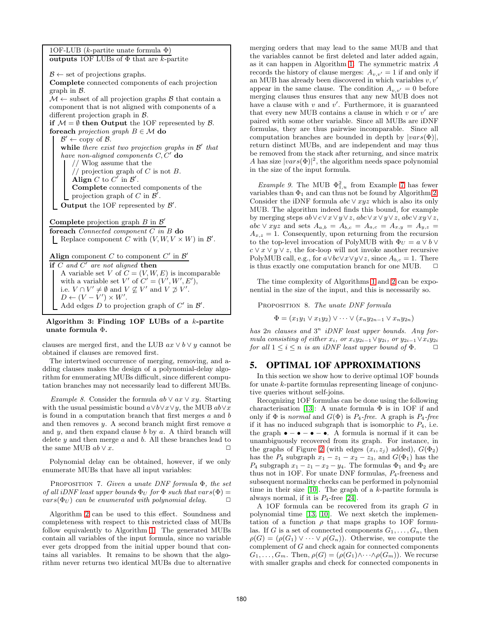1OF-LUB ( $k$ -partite unate formula  $\Phi$ ) outputs 10F LUBs of  $\Phi$  that are k-partite  $\mathcal{B} \leftarrow$  set of projections graphs. Complete connected components of each projection graph in  $\beta$ .  $M \leftarrow$  subset of all projection graphs  $\beta$  that contain a component that is not aligned with components of a different projection graph in B. if  $M = \emptyset$  then Output the 10F represented by  $\beta$ . foreach *projection graph*  $B \in \mathcal{M}$  do  $\mathcal{B}' \leftarrow \text{copy of } \mathcal{B}.$ while *there exist two projection graphs in* B ′ *that have non-aligned components*  $C, C'$  do // Wlog assume that the // projection graph of  $C$  is not  $B$ . Align C to  $C'$  in  $\mathcal{B}'$ . Complete connected components of the projection graph of C in  $\mathcal{B}^{\prime}$ . Output the 1OF represented by  $\mathcal{B}'$ . **Complete** projection graph  $B$  in  $\mathcal{B}'$ foreach *Connected component* C *in* B do Replace component C with  $(V, W, V \times W)$  in  $\mathcal{B}'$ . Align component  $C$  to component  $C'$  in  $\mathcal{B}'$ if C *and* C ′ *are not aligned* then A variable set V of  $C = (V, W, E)$  is incomparable with a variable set V' of  $C' = (V', W', E'),$ i.e.  $V \cap V' \neq \emptyset$  and  $V \not\subseteq V'$  and  $V \not\supset V'$ .  $D \leftarrow (V - V') \times W'.$ Add edges  $D$  to projection graph of  $C'$  in  $\mathcal{B}'$ .

<span id="page-6-1"></span>Algorithm 3: Finding 1OF LUBs of a k-partite unate formula Φ.

clauses are merged first, and the LUB  $ax \vee b \vee y$  cannot be obtained if clauses are removed first.

The intertwined occurrence of merging, removing, and adding clauses makes the design of a polynomial-delay algorithm for enumerating MUBs difficult, since different computation branches may not necessarily lead to different MUBs.

*Example 8.* Consider the formula  $ab \vee ax \vee xy$ . Starting with the usual pessimistic bound  $a \vee b \vee x \vee y$ , the MUB  $ab \vee x$ is found in a computation branch that first merges  $a$  and  $b$ and then removes  $y$ . A second branch might first remove  $a$ and  $y$ , and then expand clause  $b$  by  $a$ . A third branch will delete  $y$  and then merge  $a$  and  $b$ . All these branches lead to the same MUB  $ab \vee x$ .  $\Box$ 

Polynomial delay can be obtained, however, if we only enumerate MUBs that have all input variables:

Proposition 7. *Given a unate DNF formula* Φ*, the set of all iDNF least upper bounds*  $\Phi_U$  *for*  $\Phi$  *such that*  $vars(\Phi)$  =  $vars(\Phi_U)$  *can be enumerated with polynomial delay.*  $\square$ 

Algorithm [2](#page-5-1) can be used to this effect. Soundness and completeness with respect to this restricted class of MUBs follow equivalently to Algorithm [1.](#page-4-1) The generated MUBs contain all variables of the input formula, since no variable ever gets dropped from the initial upper bound that contains all variables. It remains to be shown that the algorithm never returns two identical MUBs due to alternative merging orders that may lead to the same MUB and that the variables cannot be first deleted and later added again, as it can happen in Algorithm [1.](#page-4-1) The symmetric matrix A records the history of clause merges:  $A_{v,v'} = 1$  if and only if an MUB has already been discovered in which variables  $v, v'$ appear in the same clause. The condition  $A_{v,v'} = 0$  before merging clauses thus ensures that any new MUB does not have a clause with  $v$  and  $v'$ . Furthermore, it is guaranteed that every new MUB contains a clause in which  $v$  or  $v'$  are paired with some other variable. Since all MUBs are iDNF formulas, they are thus pairwise incomparable. Since all computation branches are bounded in depth by  $|vars(\Phi)|$ , return distinct MUBs, and are independent and may thus be removed from the stack after returning, and since matrix A has size  $|vars(\Phi)|^2$ , the algorithm needs space polynomial in the size of the input formula.

*Example 9.* The MUB  $\Phi_{1,u}^2$  from Example [7](#page-5-2) has fewer variables than  $\Phi_1$  and can thus not be found by Algorithm [2.](#page-5-1) Consider the iDNF formula  $abc \vee xyz$  which is also its only MUB. The algorithm indeed finds this bound, for example by merging steps  $ab \vee c \vee x \vee y \vee z$ ,  $abc \vee x \vee y \vee z$ ,  $abc \vee xy \vee z$ , abc  $\vee$  xyz and sets  $A_{a,b} = A_{b,c} = A_{a,c} = A_{x,y} = A_{y,z}$  $A_{x,z} = 1$ . Consequently, upon returning from the recursion to the top-level invocation of PolyMUB with  $\Phi_U = a \vee b \vee$  $c \vee x \vee y \vee z$ , the for-loop will not invoke another recursive PolyMUB call, e.g., for  $a \vee b c \vee x \vee y \vee z$ , since  $A_{b,c} = 1$ . There is thus exactly one computation branch for one MUB.  $\Box$ 

The time complexity of Algorithms [1](#page-4-1) and [2](#page-5-1) can be exponential in the size of the input, and this is necessarily so.

Proposition 8. *The unate DNF formula*

 $\Phi = (x_1y_1 \vee x_1y_2) \vee \cdots \vee (x_ny_{2n-1} \vee x_ny_{2n})$ 

has  $2n$  *clauses and*  $3^n$  *iDNF least upper bounds. Any formula consisting of either*  $x_i$ *, or*  $x_iy_{2i-1} \vee y_{2i}$ *, or*  $y_{2i-1} \vee x_iy_{2i}$ *for all*  $1 \leq i \leq n$  *is an iDNF least upper bound of*  $\Phi$ *.*  $\Box$ 

## <span id="page-6-0"></span>**5. OPTIMAL 1OF APPROXIMATIONS**

In this section we show how to derive optimal 1OF bounds for unate k-partite formulas representing lineage of conjunctive queries without self-joins.

Recognizing 1OF formulas can be done using the following characterisation [\[13\]](#page-11-22): A unate formula  $\Phi$  is in 1OF if and only if  $\Phi$  is *normal* and  $G(\Phi)$  is  $P_4$ -free. A graph is  $P_4$ -free if it has no induced subgraph that is isomorphic to  $P_4$ , i.e. the graph  $\bullet - \bullet - \bullet - \bullet$ . A formula is normal if it can be unambiguously recovered from its graph. For instance, in the graphs of Figure [2](#page-7-0) (with edges  $(x_i, z_j)$  added),  $G(\Phi_2)$ has the  $P_4$  subgraph  $x_1 - x_1 - x_2 - x_3$ , and  $G(\Phi_1)$  has the  $P_4$  subgraph  $x_1 - z_1 - x_2 - y_4$ . The formulas  $\Phi_1$  and  $\Phi_2$  are thus not in 1OF. For unate DNF formulas,  $P_4$ -freeness and subsequent normality checks can be performed in polynomial time in their size  $[10]$ . The graph of a k-partite formula is always normal, if it is  $P_4$ -free [\[24\]](#page-11-23).

A 1OF formula can be recovered from its graph G in polynomial time [\[13,](#page-11-22) [10\]](#page-11-11). We next sketch the implementation of a function  $\rho$  that maps graphs to 1OF formulas. If G is a set of connected components  $G_1, \ldots, G_n$ , then  $\rho(G) = (\rho(G_1) \vee \cdots \vee \rho(G_n)).$  Otherwise, we compute the complement of G and check again for connected components  $G_1, \ldots, G_m$ . Then,  $\rho(G) = (\rho(G_1) \wedge \cdots \wedge \rho(G_m))$ . We recurse with smaller graphs and check for connected components in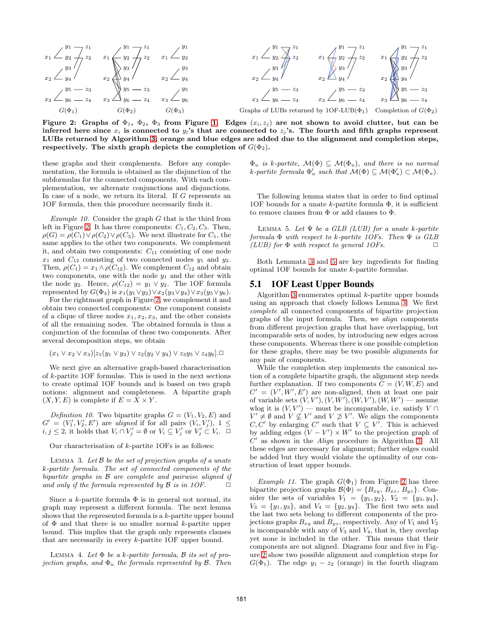$$
\begin{array}{ccccccccc}\nx_1 & y_1 & y_1 & z_1 & & y_1 & z_1 & & y_1 & z_1 & & y_1 & z_1 & & y_1 & z_1 & & y_1 & z_1 & & y_1 & z_1 & & y_1 & z_1 & & y_1 & z_1 & & y_1 & z_1 & & y_1 & z_1 & & y_1 & z_1 & & y_1 & z_1 & & y_1 & z_1 & & y_1 & z_1 & & y_1 & z_1 & & y_1 & z_1 & & y_1 & z_1 & & y_1 & z_1 & & y_1 & z_1 & & y_1 & z_1 & & y_1 & z_1 & & y_1 & z_1 & & y_1 & z_1 & & y_1 & z_1 & & y_1 & z_1 & & y_1 & z_1 & & y_1 & z_1 & & y_1 & z_1 & & y_1 & z_1 & & y_1 & z_1 & & y_1 & z_1 & & y_1 & z_1 & & y_1 & z_1 & & y_1 & z_1 & & y_1 & z_1 & & y_1 & z_1 & & y_1 & z_1 & & y_1 & z_1 & & y_1 & z_1 & & y_1 & z_1 & & y_1 & z_1 & & y_1 & z_1 & & y_1 & z_1 & & y_1 & z_1 & & y_1 & z_1 & & y_1 & z_1 & & y_1 & z_1 & & y_1 & z_1 & & y_1 & z_1 & & y_1 & z_1 & & y_1 & z_1 & & y_1 & z_1 & & y_1 & z_1 & & y_1 & z_1 & & y_1 & z_1 & & y_1 & z_1 & & y_1 & z_1 & & y_1 & z_1 & & y_1 & z_1 & & y_1 & z_1 & & y_1 & z_1 & & y_1 & z_1 & & y_1 & z_1 & & y_1 & z_1 & & y_1 & z_1 & & y_1 & z_1 & & y_1 & z_1 & & y_1 & z_1 & & y_1 & z_1 & & y_1 & z_1 & & y_1 & z_1 & & y_1 & z_1 & & y_1 & z_1 & & y_1 & z_1 & & y_1 & z_1 & & y_1 & z_1 & & y_1 & z_1 & & y_1 & z_1 & & y_1 & z_1 & & y_1 & z_1 & & y_1 & z_1 & & y_1 & z
$$

<span id="page-7-0"></span>Figure 2: Graphs of  $\Phi_1$ ,  $\Phi_2$ ,  $\Phi_3$  from Figure [1.](#page-1-0) Edges  $(x_i, z_j)$  are not shown to avoid clutter, but can be inferred here since  $x_i$  is connected to  $y_i$ 's that are connected to  $z_i$ 's. The fourth and fifth graphs represent LUBs returned by Algorithm [3;](#page-6-1) orange and blue edges are added due to the alignment and completion steps, respectively. The sixth graph depicts the completion of  $G(\Phi_2)$ .

these graphs and their complements. Before any complementation, the formula is obtained as the disjunction of the subformulas for the connected components. With each complementation, we alternate conjunctions and disjunctions. In case of a node, we return its literal. If  $G$  represents an 1OF formula, then this procedure necessarily finds it.

<span id="page-7-3"></span>*Example 10.* Consider the graph G that is the third from left in Figure [2.](#page-7-0) It has three components:  $C_1, C_2, C_3$ . Then,  $\rho(G) = \rho(C_1) \vee \rho(C_2) \vee \rho(C_3)$ . We next illustrate for  $C_1$ , the same applies to the other two components. We complement it, and obtain two components:  $C_{11}$  consisting of one node  $x_1$  and  $C_{12}$  consisting of two connected nodes  $y_1$  and  $y_2$ . Then,  $\rho(C_1) = x_1 \wedge \rho(C_{12})$ . We complement  $C_{12}$  and obtain two components, one with the node  $y_1$  and the other with the node  $y_2$ . Hence,  $\rho(C_{12}) = y_1 \vee y_2$ . The 1OF formula represented by  $G(\Phi_3)$  is  $x_1(y_1 \vee y_2) \vee x_2(y_3 \vee y_4) \vee x_3(y_5 \vee y_6)$ .

For the rightmost graph in Figure [2,](#page-7-0) we complement it and obtain two connected components: One component consists of a clique of three nodes  $x_1, x_2, x_3$ , and the other consists of all the remaining nodes. The obtained formula is thus a conjunction of the formulas of these two components. After several decomposition steps, we obtain

$$
(x_1 \vee x_2 \vee x_3)[z_1(y_1 \vee y_3) \vee z_2(y_2 \vee y_4) \vee z_3y_5 \vee z_4y_6]. \square
$$

We next give an alternative graph-based characterisation of k-partite 1OF formulas. This is used in the next sections to create optimal 1OF bounds and is based on two graph notions: alignment and completeness. A bipartite graph  $(X, Y, E)$  is complete if  $E = X \times Y$ .

*Definition 10.* Two bipartite graphs  $G = (V_1, V_2, E)$  and  $G' = (V'_1, V'_2, E')$  are *aligned* if for all pairs  $(V_i, V'_j), 1 \leq$  $i, j \leq 2$ , it holds that  $V_i \cap V'_j = \emptyset$  or  $V_i \subseteq V'_j$  or  $V'_j \subseteq V_i$ .

<span id="page-7-1"></span>Our characterisation of  $k$ -partite 1OFs is as follows:

Lemma 3. *Let* B *be the set of projection graphs of a unate* k*-partite formula. The set of connected components of the bipartite graphs in* B *are complete and pairwise aligned if and only if the formula represented by*  $\beta$  *is in 1OF.*  $\Box$ 

Since a k-partite formula  $\Phi$  is in general not normal, its graph may represent a different formula. The next lemma shows that the represented formula is a  $k$ -partite upper bound of  $\Phi$  and that there is no smaller normal k-partite upper bound. This implies that the graph only represents clauses that are necessarily in every k-partite 1OF upper bound.

Lemma 4. *Let* Φ *be a* k*-partite formula,* B *its set of projection graphs, and* Φ<sup>u</sup> *the formula represented by* B*. Then*  $\Phi_u$  *is* k-partite,  $\mathcal{M}(\Phi) \subseteq \mathcal{M}(\Phi_u)$ , and there is no normal  $k$ -partite formula  $\Phi'_u$  such that  $\mathcal{M}(\Phi) \subseteq \mathcal{M}(\Phi'_u) \subset \mathcal{M}(\Phi_u)$ .

<span id="page-7-2"></span>The following lemma states that in order to find optimal 1OF bounds for a unate k-partite formula  $\Phi$ , it is sufficient to remove clauses from  $\Phi$  or add clauses to  $\Phi$ .

Lemma 5. *Let* Ψ *be a GLB (LUB) for a unate* k*-partite formula* Φ *with respect to* k*-partite 1OFs. Then* Ψ *is GLB*  $(LUB)$  for  $\Phi$  *with respect to general 1OFs.* 

Both Lemmata [3](#page-7-1) and [5](#page-7-2) are key ingredients for finding optimal 1OF bounds for unate k-partite formulas.

#### <span id="page-7-4"></span>**5.1 1OF Least Upper Bounds**

Algorithm [3](#page-6-1) enumerates optimal k-partite upper bounds using an approach that closely follows Lemma [3.](#page-7-1) We first *complete* all connected components of bipartite projection graphs of the input formula. Then, we *align* components from different projection graphs that have overlapping, but incomparable sets of nodes, by introducing new edges across these components. Whereas there is one possible completion for these graphs, there may be two possible alignments for any pair of components.

While the completion step implements the canonical notion of a complete bipartite graph, the alignment step needs further explanation. If two components  $C = (V, W, E)$  and  $C' = (V', W', E')$  are non-aligned, then at least one pair of variable sets  $(V, V'), (V, W'), (W, V'), (W, W')$  — assume wlog it is  $(V, V')$  — must be incomparable, i.e. satisfy  $V \cap$  $V' \neq \emptyset$  and  $V \nsubseteq V'$  and  $V \nsubseteq V'$ . We align the components  $C, C'$  by enlarging C' such that  $V \subseteq V'$ . This is achieved by adding edges  $(V - V') \times W'$  to the projection graph of  $\check{C}'$  as shown in the *Align* procedure in Algorithm [3.](#page-6-1) All these edges are necessary for alignment; further edges could be added but they would violate the optimality of our construction of least upper bounds.

*Example 11.* The graph  $G(\Phi_1)$  from Figure [2](#page-7-0) has three bipartite projection graphs  $\mathcal{B}(\Phi) = \{B_{xy}, B_{xz}, B_{yz}\}.$  Consider the sets of variables  $V_1 = \{y_1, y_2\}, V_2 = \{y_3, y_4\},$  $V_3 = \{y_1, y_3\}$ , and  $V_4 = \{y_2, y_4\}$ . The first two sets and the last two sets belong to different components of the projections graphs  $B_{xy}$  and  $B_{yz}$ , respectively. Any of  $V_1$  and  $V_2$ is incomparable with any of  $V_3$  and  $V_4$ , that is, they overlap yet none is included in the other. This means that their components are not aligned. Diagrams four and five in Figure [2](#page-7-0) show two possible alignment and completion steps for  $G(\Phi_1)$ . The edge  $y_1 - z_2$  (orange) in the fourth diagram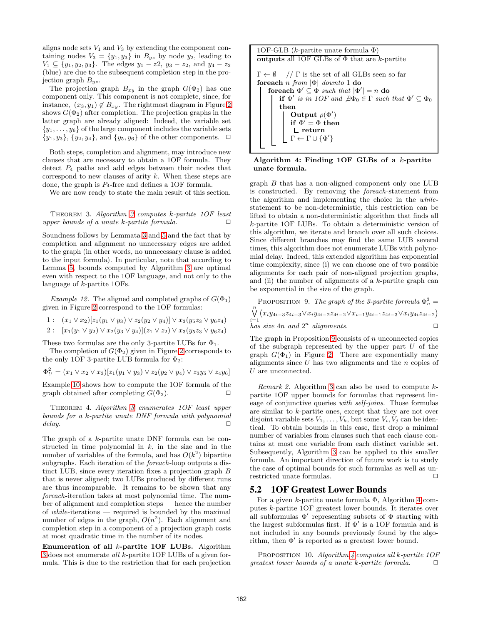aligns node sets  $V_1$  and  $V_3$  by extending the component containing nodes  $V_3 = \{y_1, y_3\}$  in  $B_{yz}$  by node  $y_2$ , leading to  $V_1 \subseteq \{y_1, y_2, y_3\}.$  The edges  $y_1 - z_2$ ,  $y_3 - z_2$ , and  $y_4 - z_2$ (blue) are due to the subsequent completion step in the projection graph  $B_{yz}$ .

The projection graph  $B_{xy}$  in the graph  $G(\Phi_2)$  has one component only. This component is not complete, since, for instance,  $(x_3, y_1) \notin B_{xy}$ . The rightmost diagram in Figure [2](#page-7-0) shows  $G(\Phi_2)$  after completion. The projection graphs in the latter graph are already aligned: Indeed, the variable set  ${y_1, \ldots, y_6}$  of the large component includes the variable sets  $\{y_1, y_3\}, \{y_2, y_4\}, \text{ and } \{y_5, y_6\} \text{ of the other components. } \square$ 

Both steps, completion and alignment, may introduce new clauses that are necessary to obtain a 1OF formula. They detect  $P_4$  paths and add edges between their nodes that correspond to new clauses of arity  $k$ . When these steps are done, the graph is  $P_4$ -free and defines a 1OF formula.

<span id="page-8-0"></span>We are now ready to state the main result of this section.

Theorem 3. *Algorithm [3](#page-6-1) computes* k*-partite 1OF least*  $upper\,bounds\,of\,a\,unate\,k-partite\,formula.$ 

Soundness follows by Lemmata [3](#page-7-1) and [5](#page-7-2) and the fact that by completion and alignment no unnecessary edges are added to the graph (in other words, no unnecessary clause is added to the input formula). In particular, note that according to Lemma [5,](#page-7-2) bounds computed by Algorithm [3](#page-8-0) are optimal even with respect to the 1OF language, and not only to the language of k-partite 1OFs.

*Example 12.* The aligned and completed graphs of  $G(\Phi_1)$ given in Figure [2](#page-7-0) correspond to the 1OF formulas:

1: 
$$
(x_1 \vee x_2)[z_1(y_1 \vee y_3) \vee z_2(y_2 \vee y_4)] \vee x_3(y_5z_3 \vee y_6z_4)
$$

2: 
$$
[x_1(y_1 \vee y_2) \vee x_2(y_3 \vee y_4)](z_1 \vee z_2) \vee x_3(y_5z_3 \vee y_6z_4)
$$

These two formulas are the only 3-partite LUBs for  $\Phi_1$ .

The completion of  $G(\Phi_2)$  given in Figure [2](#page-7-0) corresponds to the only 1OF 3-partite LUB formula for  $\Phi_2$ :

$$
\Phi_U^2 = (x_1 \vee x_2 \vee x_3)[z_1(y_1 \vee y_3) \vee z_2(y_2 \vee y_4) \vee z_3y_5 \vee z_4y_6]
$$

Example [10](#page-7-3) shows how to compute the 1OF formula of the graph obtained after completing  $G(\Phi_2)$ .

Theorem 4. *Algorithm [3](#page-6-1) enumerates 1OF least upper bounds for a* k*-partite unate DNF formula with polynomial delay.* □

The graph of a k-partite unate DNF formula can be constructed in time polynomial in  $k$ , in the size and in the number of variables of the formula, and has  $O(k^2)$  bipartite subgraphs. Each iteration of the *foreach*-loop outputs a distinct LUB, since every iteration fixes a projection graph B that is never aligned; two LUBs produced by different runs are thus incomparable. It remains to be shown that any *foreach*-iteration takes at most polynomial time. The number of alignment and completion steps — hence the number of *while*-iterations — required is bounded by the maximal number of edges in the graph,  $O(n^2)$ . Each alignment and completion step in a component of a projection graph costs at most quadratic time in the number of its nodes.

Enumeration of all k-partite 1OF LUBs. Algorithm [3](#page-6-1) does not enumerate *all* k-partite 1OF LUBs of a given formula. This is due to the restriction that for each projection



<span id="page-8-2"></span>Algorithm 4: Finding 1OF GLBs of a k-partite unate formula.

graph B that has a non-aligned component only one LUB is constructed. By removing the *foreach*-statement from the algorithm and implementing the choice in the *while*statement to be non-deterministic, this restriction can be lifted to obtain a non-deterministic algorithm that finds all k-partite 1OF LUBs. To obtain a deterministic version of this algorithm, we iterate and branch over all such choices. Since different branches may find the same LUB several times, this algorithm does not enumerate LUBs with polynomial delay. Indeed, this extended algorithm has exponential time complexity, since (i) we can choose one of two possible alignments for each pair of non-aligned projection graphs, and (ii) the number of alignments of a  $k$ -partite graph can be exponential in the size of the graph.

<span id="page-8-1"></span>PROPOSITION 9. *The graph of the 3-partite formula*  $\Phi_n^3$  =  $\bigvee_{i=1}^n (x_i y_{4i-3} z_{4i-3} \vee x_i y_{4i-2} z_{4i-2} \vee x_{i+1} y_{4i-1} z_{4i-3} \vee x_i y_{4i} z_{4i-2})$ *has size* 4n *and* 2 n *alignments.* 

The graph in Proposition [9](#page-8-1) consists of  $n$  unconnected copies of the subgraph represented by the upper part  $U$  of the graph  $G(\Phi_1)$  in Figure [2.](#page-7-0) There are exponentially many alignments since  $U$  has two alignments and the  $n$  copies of U are unconnected.

*Remark 2.* Algorithm [3](#page-6-1) can also be used to compute kpartite 1OF upper bounds for formulas that represent lineage of conjunctive queries *with self-joins*. Those formulas are similar to k-partite ones, except that they are not over disjoint variable sets  $V_1, \ldots, V_k$ , but some  $V_i, V_j$  can be identical. To obtain bounds in this case, first drop a minimal number of variables from clauses such that each clause contains at most one variable from each distinct variable set. Subsequently, Algorithm [3](#page-6-1) can be applied to this smaller formula. An important direction of future work is to study the case of optimal bounds for such formulas as well as unrestricted unate formulas.  $\hfill \Box$ 

## **5.2 1OF Greatest Lower Bounds**

For a given k-partite unate formula  $\Phi$ , Algorithm [4](#page-8-2) computes k-partite 1OF greatest lower bounds. It iterates over all subformulas  $\Phi'$  representing subsets of  $\Phi$  starting with the largest subformulas first. If Φ′ is a 1OF formula and is not included in any bounds previously found by the algorithm, then Φ′ is reported as a greatest lower bound.

Proposition 10. *Algorithm [4](#page-8-2) computes all* k*-partite 1OF greatest lower bounds of a unate k-partite formula.*  $\Box$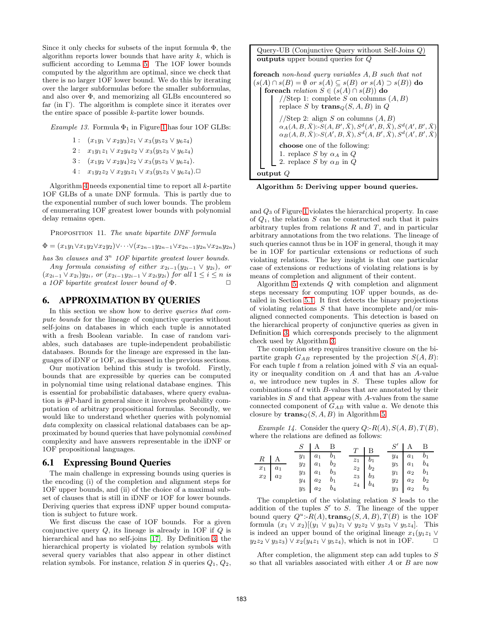Since it only checks for subsets of the input formula  $\Phi$ , the algorithm reports lower bounds that have arity  $k$ , which is sufficient according to Lemma [5.](#page-7-2) The 1OF lower bounds computed by the algorithm are optimal, since we check that there is no larger 1OF lower bound. We do this by iterating over the larger subformulas before the smaller subformulas, and also over  $\Phi$ , and memorizing all GLBs encountered so far (in Γ). The algorithm is complete since it iterates over the entire space of possible k-partite lower bounds.

<span id="page-9-1"></span>*Example [1](#page-1-0)3.* Formula  $\Phi_1$  in Figure 1 has four 1OF GLBs:

- 1 :  $(x_1y_1 \vee x_2y_3)z_1 \vee x_3(y_5z_3 \vee y_6z_4)$
- 2 :  $x_1y_1z_1 \vee x_2y_4z_2 \vee x_3(y_5z_3 \vee y_6z_4)$
- 3 :  $(x_1y_2 \vee x_2y_4)z_2 \vee x_3(y_5z_3 \vee y_6z_4).$
- 4 :  $x_1y_2z_2 \vee x_2y_3z_1 \vee x_3(y_5z_3 \vee y_6z_4)$ .

Algorithm [4](#page-8-2) needs exponential time to report all k-partite 1OF GLBs of a unate DNF formula. This is partly due to the exponential number of such lower bounds. The problem of enumerating 1OF greatest lower bounds with polynomial delay remains open.

Proposition 11. *The unate bipartite DNF formula*

 $\Phi = (x_1y_1 \lor x_1y_2 \lor x_2y_2) \lor \cdots \lor (x_{2n-1}y_{2n-1} \lor x_{2n-1}y_{2n} \lor x_{2n}y_{2n})$ 

*has* 3n *clauses and* 3 n *1OF bipartite greatest lower bounds.*

*Any formula consisting of either*  $x_{2i-1}(y_{2i-1} \vee y_{2i})$ *, or*  $(x_{2i-1} ∨ x_{2i})y_{2i}$ *, or*  $(x_{2i-1}y_{2i-1} ∨ x_{2i}y_{2i})$  *for all*  $1 ≤ i ≤ n$  *is a 1OF bipartite greatest lower bound of*  $\Phi$ .  $\Box$ 

## **6. APPROXIMATION BY QUERIES**

In this section we show how to derive *queries that compute bounds* for the lineage of conjunctive queries without self-joins on databases in which each tuple is annotated with a fresh Boolean variable. In case of random variables, such databases are tuple-independent probabilistic databases. Bounds for the lineage are expressed in the languages of iDNF or 1OF, as discussed in the previous sections.

Our motivation behind this study is twofold. Firstly, bounds that are expressible by queries can be computed in polynomial time using relational database engines. This is essential for probabilistic databases, where query evaluation is #P-hard in general since it involves probability computation of arbitrary propositional formulas. Secondly, we would like to understand whether queries with polynomial *data* complexity on classical relational databases can be approximated by bound queries that have polynomial *combined* complexity and have answers representable in the iDNF or 1OF propositional languages.

## **6.1 Expressing Bound Queries**

The main challenge in expressing bounds using queries is the encoding (i) of the completion and alignment steps for 1OF upper bounds, and (ii) of the choice of a maximal subset of clauses that is still in iDNF or 1OF for lower bounds. Deriving queries that express iDNF upper bound computation is subject to future work.

We first discuss the case of 1OF bounds. For a given conjunctive query  $Q$ , its lineage is already in 1OF if  $Q$  is hierarchical and has no self-joins [\[17\]](#page-11-13). By Definition [3,](#page-2-1) the hierarchical property is violated by relation symbols with several query variables that also appear in other distinct relation symbols. For instance, relation  $S$  in queries  $Q_1, Q_2$ ,



<span id="page-9-0"></span>Algorithm 5: Deriving upper bound queries.

and Q<sup>3</sup> of Figure [1](#page-1-0) violates the hierarchical property. In case of  $Q_1$ , the relation S can be constructed such that it pairs arbitrary tuples from relations  $R$  and  $T$ , and in particular arbitrary annotations from the two relations. The lineage of such queries cannot thus be in 1OF in general, though it may be in 1OF for particular extensions or reductions of such violating relations. The key insight is that one particular case of extensions or reductions of violating relations is by means of completion and alignment of their content.

Algorithm [5](#page-9-0) extends Q with completion and alignment steps necessary for computing 1OF upper bounds, as detailed in Section [5.1.](#page-7-4) It first detects the binary projections of violating relations  $S$  that have incomplete and/or misaligned connected components. This detection is based on the hierarchical property of conjunctive queries as given in Definition [3,](#page-2-1) which corresponds precisely to the alignment check used by Algorithm [3.](#page-6-1)

The completion step requires transitive closure on the bipartite graph  $G_{AB}$  represented by the projection  $S(A, B)$ : For each tuple  $t$  from a relation joined with  $S$  via an equality or inequality condition on A and that has an A-value a, we introduce new tuples in S. These tuples allow for combinations of  $t$  with  $B$ -values that are annotated by their variables in  $S$  and that appear with  $A$ -values from the same connected component of  $G_{AB}$  with value a. We denote this closure by  $\text{trans}_{\mathcal{Q}}(S, A, B)$  in Algorithm [5.](#page-9-0)

*Example 14.* Consider the query  $Q: R(A), S(A, B), T(B)$ , where the relations are defined as follows:

|                 |  | $S$ A B                                | $T \mid B$                 |  | $S'$ A B                                     |  |
|-----------------|--|----------------------------------------|----------------------------|--|----------------------------------------------|--|
| $R \mid A$      |  | $y_1 \mid a_1 \mid b_1$                | $z_1$ $b_1$                |  | $y_4$ $a_1$ $b_1$                            |  |
| $x_1 \quad a_1$ |  | $y_2$ $a_1$ $b_2$<br>$y_3$ $a_1$ $b_3$ | $z_2$ $b_2$                |  | $y_5\quad a_1\quad b_4$<br>$y_1$ $a_2$ $b_1$ |  |
| $x_2 \quad a_2$ |  | $y_4$ $a_2$ $b_1$                      | $z_3$ $b_3$<br>$z_4$ $b_4$ |  | $y_2$ $a_2$ $b_2$                            |  |
|                 |  | $y_5$ $a_2$ $b_4$                      |                            |  | $y_3$ $a_2$ $b_3$                            |  |

The completion of the violating relation  $S$  leads to the addition of the tuples  $S'$  to  $S$ . The lineage of the upper bound query  $Q^u$ :- $R(A)$ , trans $Q(S, A, B)$ ,  $T(B)$  is the 1OF formula  $(x_1 \vee x_2)[(y_1 \vee y_4)z_1 \vee y_2z_2 \vee y_3z_3 \vee y_5z_4]$ . This is indeed an upper bound of the original lineage  $x_1(y_1z_1 \vee$  $y_2z_2 \vee y_3z_3 \vee x_2(y_4z_1 \vee y_5z_4)$ , which is not in 1OF.

After completion, the alignment step can add tuples to S so that all variables associated with either A or B are now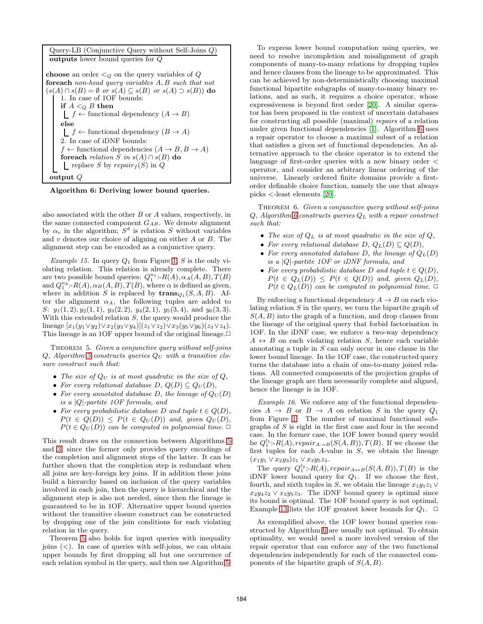

<span id="page-10-1"></span>Algorithm 6: Deriving lower bound queries.

also associated with the other B or A values, respectively, in the same connected component  $G_{AB}$ . We denote alignment by  $\alpha_v$  in the algorithm;  $S^d$  is relation S without variables and  $v$  denotes our choice of aligning on either  $A$  or  $B$ . The alignment step can be encoded as a conjunctive query.

<span id="page-10-2"></span>*Example 15.* In query  $Q_1$  from Figure [1,](#page-1-0) S is the only violating relation. This relation is already complete. There are two possible bound queries:  $Q_1^{u_1}$ :- $R(A), \alpha_A(A, B), T(B)$ and  $Q_1^{u_2}$ :  $R(A), \alpha_B(A, B), T(B)$ , where  $\alpha$  is defined as given, where in addition S is replaced by  $\mathbf{trans}_{Q_1}(S, A, B)$ . After the alignment  $\alpha_A$ , the following tuples are added to S:  $y_1(1, 2), y_2(1, 1), y_3(2, 2), y_4(2, 1), y_5(3, 4), \text{ and } y_6(3, 3).$ With this extended relation S, the query would produce the lineage  $[x_1(y_1 \vee y_2) \vee x_2(y_3 \vee y_4)](z_1 \vee z_2) \vee x_3(y_5 \vee y_6)(z_3 \vee z_4).$ This lineage is an 1OF upper bound of the original lineage.□

<span id="page-10-0"></span>Theorem 5. *Given a conjunctive query without self-joins* Q*, Algorithm [5](#page-9-0) constructs queries* Q<sup>U</sup> *with a transitive closure construct such that:*

- *The size of*  $Q_U$  *is at most quadratic in the size of*  $Q$ *,*
- For every relational database  $D$ ,  $Q(D) \subseteq Q_U(D)$ ,
- For every annotated database  $D$ , the lineage of  $Q_U(D)$ *is a* |Q|*-partite 1OF formula, and*
- For every probabilistic database  $D$  and tuple  $t \in Q(D)$ ,  $P(t \in Q(D)) \leq P(t \in Q_U(D))$  and, given  $Q_U(D)$ ,  $P(t \in Q_U(D))$  *can be computed in polynomial time.*  $\Box$

This result draws on the connection between Algorithms [5](#page-9-0) and [3,](#page-6-1) since the former only provides query encodings of the completion and alignment steps of the latter. It can be further shown that the completion step is redundant when all joins are key-foreign key joins. If in addition these joins build a hierarchy based on inclusion of the query variables involved in each join, then the query is hierarchical and the alignment step is also not needed, since then the lineage is guaranteed to be in 1OF. Alternative upper bound queries without the transitive closure construct can be constructed by dropping one of the join conditions for each violating relation in the query.

Theorem [5](#page-10-0) also holds for input queries with inequality joins (<). In case of queries with self-joins, we can obtain upper bounds by first dropping all but one occurrence of each relation symbol in the query, and then use Algorithm [5.](#page-9-0)

To express lower bound computation using queries, we need to resolve incompletion and misalignment of graph components of many-to-many relations by dropping tuples and hence clauses from the lineage to be approximated. This can be achieved by non-deterministically choosing maximal functional bipartite subgraphs of many-to-many binary relations, and as such, it requires a choice operator, whose expressiveness is beyond first order [\[20\]](#page-11-24). A similar operator has been proposed in the context of uncertain databases for constructing all possible (maximal) *repairs* of a relation under given functional dependencies [\[1\]](#page-11-25). Algorithm [6](#page-10-1) uses a repair operator to choose a maximal subset of a relation that satisfies a given set of functional dependencies. An alternative approach to the choice operator is to extend the language of first-order queries with a new binary order < operator, and consider an arbitrary linear ordering of the universe. Linearly ordered finite domains provide a firstorder definable choice function, namely the one that always picks <-least elements [\[20\]](#page-11-24).

Theorem 6. *Given a conjunctive query without self-joins* Q*, Algorithm [6](#page-10-1) constructs queries* Q<sup>L</sup> *with a repair construct such that:*

- The size of  $Q_L$  is at most quadratic in the size of  $Q$ ,
- For every relational database  $D, Q_L(D) \subseteq Q(D)$ ,
- For every annotated database  $D$ , the lineage of  $Q_L(D)$ *is a* |Q|*-partite 1OF or iDNF formula, and*
- For every probabilistic database  $D$  and tuple  $t \in Q(D)$ ,  $P(t \in Q_L(D)) \leq P(t \in Q(D))$  and, given  $Q_L(D)$ ,  $P(t \in Q_L(D))$  *can be computed in polynomial time.*  $\Box$

By enforcing a functional dependency  $A \rightarrow B$  on each violating relation S in the query, we turn the bipartite graph of  $S(A, B)$  into the graph of a function, and drop clauses from the lineage of the original query that forbid factorisation in 1OF. In the iDNF case, we enforce a two-way dependency  $A \leftrightarrow B$  on each violating relation S, hence each variable annotating a tuple in S can only occur in one clause in the lower bound lineage. In the 1OF case, the constructed query turns the database into a chain of one-to-many joined relations. All connected components of the projection graphs of the lineage graph are then necessarily complete and aligned, hence the lineage is in 1OF.

*Example 16.* We enforce any of the functional dependencies  $A \rightarrow B$  or  $B \rightarrow A$  on relation S in the query  $Q_1$ from Figure [1.](#page-1-0) The number of maximal functional subgraphs of S is eight in the first case and four in the second case. In the former case, the 1OF lower bound query would be  $Q_1^{l_1}$ :- $R(A)$ , repair<sub>A→B</sub>( $S(A, B)$ ),  $T(B)$ . If we choose the first tuples for each  $A$ -value in  $S$ , we obtain the lineage  $(x_1y_1 \vee x_2y_3)z_1 \vee x_3y_5z_3.$ 

The query  $Q_1^{l_2}$ :- $R(A)$ ,  $repair_{A \leftrightarrow B}(S(A, B)), T(B)$  is the iDNF lower bound query for  $Q_1$ . If we choose the first, fourth, and sixth tuples in S, we obtain the lineage  $x_1y_1z_1 \vee$  $x_2y_4z_2 \vee x_3y_5z_3$ . The iDNF bound query is optimal since its bound is optimal. The 1OF bound query is not optimal, Example [13](#page-9-1) lists the 1OF greatest lower bounds for  $Q_1$ .  $\Box$ 

As exemplified above, the 1OF lower bound queries constructed by Algorithm [6](#page-10-1) are usually not optimal. To obtain optimality, we would need a more involved version of the repair operator that can enforce any of the two functional dependencies independently for each of the connected components of the bipartite graph of  $S(A, B)$ .